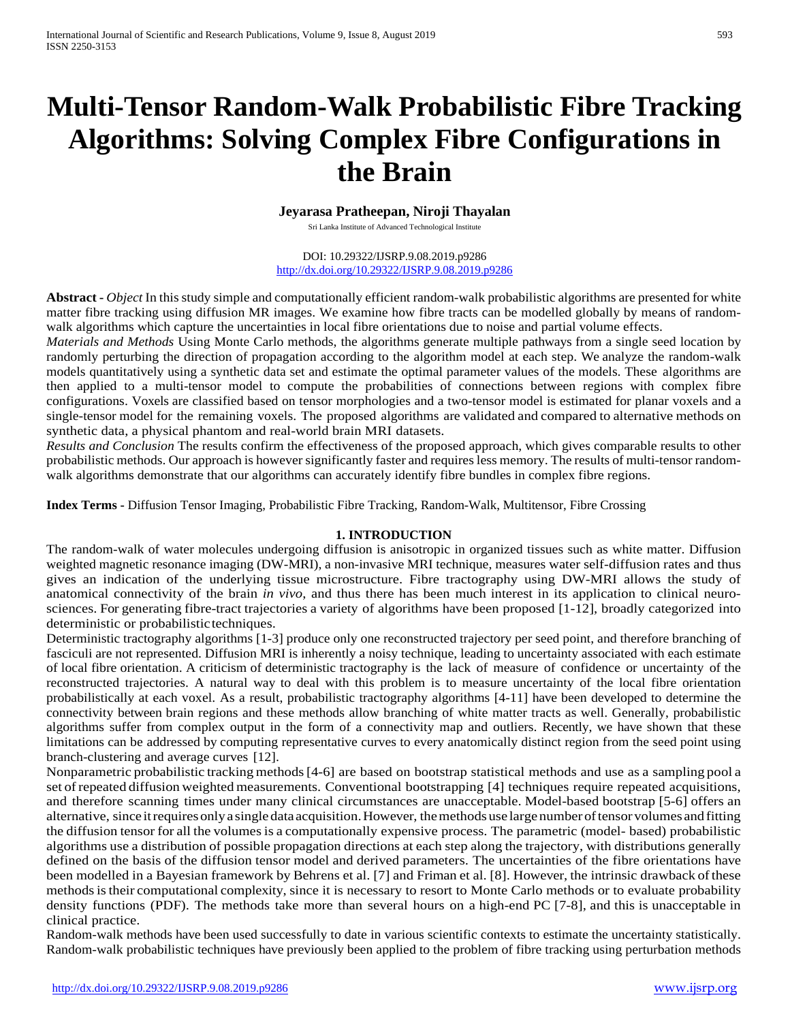# **Multi-Tensor Random-Walk Probabilistic Fibre Tracking Algorithms: Solving Complex Fibre Configurations in the Brain**

### **Jeyarasa Pratheepan, Niroji Thayalan**

Sri Lanka Institute of Advanced Technological Institute

DOI: 10.29322/IJSRP.9.08.2019.p9286 <http://dx.doi.org/10.29322/IJSRP.9.08.2019.p9286>

**Abstract -** *Object* In this study simple and computationally efficient random-walk probabilistic algorithms are presented for white matter fibre tracking using diffusion MR images. We examine how fibre tracts can be modelled globally by means of randomwalk algorithms which capture the uncertainties in local fibre orientations due to noise and partial volume effects.

*Materials and Methods* Using Monte Carlo methods, the algorithms generate multiple pathways from a single seed location by randomly perturbing the direction of propagation according to the algorithm model at each step. We analyze the random-walk models quantitatively using a synthetic data set and estimate the optimal parameter values of the models. These algorithms are then applied to a multi-tensor model to compute the probabilities of connections between regions with complex fibre configurations. Voxels are classified based on tensor morphologies and a two-tensor model is estimated for planar voxels and a single-tensor model for the remaining voxels. The proposed algorithms are validated and compared to alternative methods on synthetic data, a physical phantom and real-world brain MRI datasets.

*Results and Conclusion* The results confirm the effectiveness of the proposed approach, which gives comparable results to other probabilistic methods. Our approach is however significantly faster and requires less memory. The results of multi-tensor randomwalk algorithms demonstrate that our algorithms can accurately identify fibre bundles in complex fibre regions.

**Index Terms -** Diffusion Tensor Imaging, Probabilistic Fibre Tracking, Random-Walk, Multitensor, Fibre Crossing

## **1. INTRODUCTION**

The random-walk of water molecules undergoing diffusion is anisotropic in organized tissues such as white matter. Diffusion weighted magnetic resonance imaging (DW-MRI), a non-invasive MRI technique, measures water self-diffusion rates and thus gives an indication of the underlying tissue microstructure. Fibre tractography using DW-MRI allows the study of anatomical connectivity of the brain *in vivo*, and thus there has been much interest in its application to clinical neurosciences. For generating fibre-tract trajectories a variety of algorithms have been proposed [1-12], broadly categorized into deterministic or probabilistic techniques.

Deterministic tractography algorithms [1-3] produce only one reconstructed trajectory per seed point, and therefore branching of fasciculi are not represented. Diffusion MRI is inherently a noisy technique, leading to uncertainty associated with each estimate of local fibre orientation. A criticism of deterministic tractography is the lack of measure of confidence or uncertainty of the reconstructed trajectories. A natural way to deal with this problem is to measure uncertainty of the local fibre orientation probabilistically at each voxel. As a result, probabilistic tractography algorithms [4-11] have been developed to determine the connectivity between brain regions and these methods allow branching of white matter tracts as well. Generally, probabilistic algorithms suffer from complex output in the form of a connectivity map and outliers. Recently, we have shown that these limitations can be addressed by computing representative curves to every anatomically distinct region from the seed point using branch-clustering and average curves [12].

Nonparametric probabilistic tracking methods[4-6] are based on bootstrap statistical methods and use as a sampling pool a set ofrepeated diffusion weighted measurements. Conventional bootstrapping [4] techniques require repeated acquisitions, and therefore scanning times under many clinical circumstances are unacceptable. Model-based bootstrap [5-6] offers an alternative, since itrequiresonlya singledata acquisition.However, themethods use large numberoftensor volumes andfitting the diffusion tensor for all the volumes is a computationally expensive process. The parametric (model- based) probabilistic algorithms use a distribution of possible propagation directions at each step along the trajectory, with distributions generally defined on the basis of the diffusion tensor model and derived parameters. The uncertainties of the fibre orientations have been modelled in a Bayesian framework by Behrens et al. [7] and Friman et al. [8]. However, the intrinsic drawback ofthese methods is their computational complexity, since it is necessary to resort to Monte Carlo methods or to evaluate probability density functions (PDF). The methods take more than several hours on a high-end PC [7-8], and this is unacceptable in clinical practice.

Random-walk methods have been used successfully to date in various scientific contexts to estimate the uncertainty statistically. Random-walk probabilistic techniques have previously been applied to the problem of fibre tracking using perturbation methods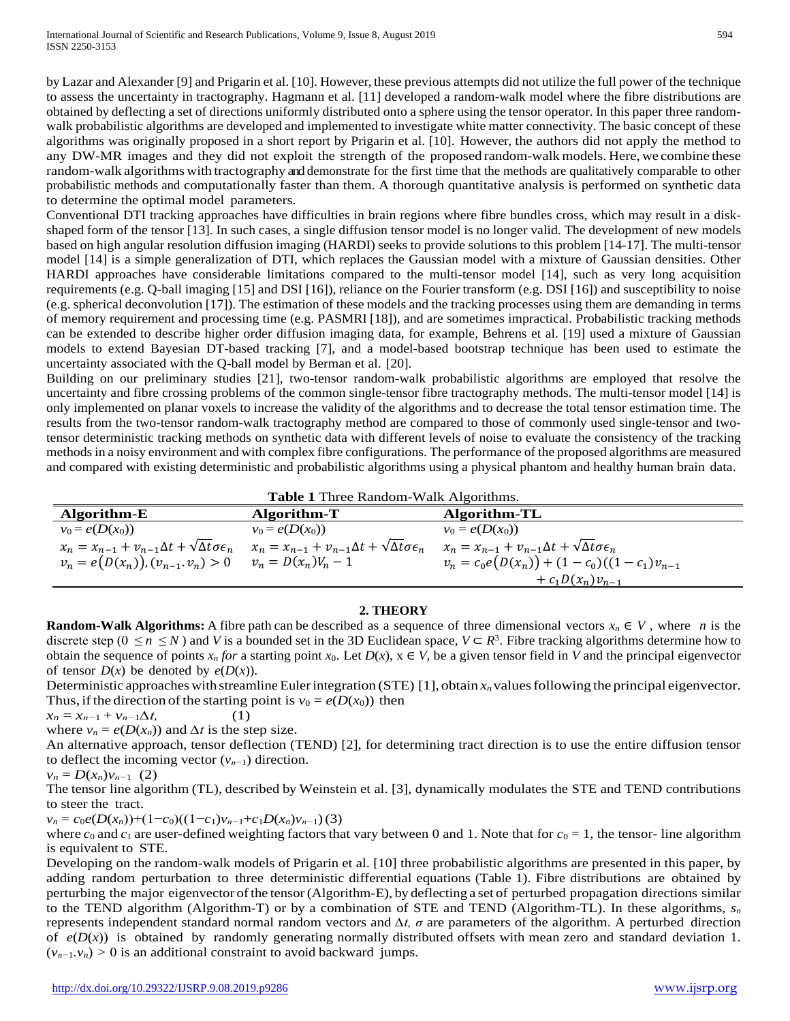by Lazar and Alexander [9] and Prigarin et al. [10]. However, these previous attempts did not utilize the full power of the technique to assess the uncertainty in tractography. Hagmann et al. [11] developed a random-walk model where the fibre distributions are obtained by deflecting a set of directions uniformly distributed onto a sphere using the tensor operator. In this paper three randomwalk probabilistic algorithms are developed and implemented to investigate white matter connectivity. The basic concept of these algorithms was originally proposed in a short report by Prigarin et al. [10]. However, the authors did not apply the method to any DW-MR images and they did not exploit the strength of the proposed random-walk models. Here, we combine these random-walk algorithms with tractography and demonstrate for the first time that the methods are qualitatively comparable to other probabilistic methods and computationally faster than them. A thorough quantitative analysis is performed on synthetic data to determine the optimal model parameters.

Conventional DTI tracking approaches have difficulties in brain regions where fibre bundles cross, which may result in a diskshaped form of the tensor [13]. In such cases, a single diffusion tensor model is no longer valid. The development of new models based on high angular resolution diffusion imaging (HARDI) seeks to provide solutions to this problem [14-17]. The multi-tensor model [14] is a simple generalization of DTI, which replaces the Gaussian model with a mixture of Gaussian densities. Other HARDI approaches have considerable limitations compared to the multi-tensor model [14], such as very long acquisition requirements (e.g. Q-ball imaging [15] and DSI [16]), reliance on the Fourier transform (e.g. DSI [16]) and susceptibility to noise (e.g. spherical deconvolution [17]). The estimation of these models and the tracking processes using them are demanding in terms of memory requirement and processing time (e.g. PASMRI [18]), and are sometimes impractical. Probabilistic tracking methods can be extended to describe higher order diffusion imaging data, for example, Behrens et al. [19] used a mixture of Gaussian models to extend Bayesian DT-based tracking [7], and a model-based bootstrap technique has been used to estimate the uncertainty associated with the Q-ball model by Berman et al. [20].

Building on our preliminary studies [21], two-tensor random-walk probabilistic algorithms are employed that resolve the uncertainty and fibre crossing problems of the common single-tensor fibre tractography methods. The multi-tensor model [14] is only implemented on planar voxels to increase the validity of the algorithms and to decrease the total tensor estimation time. The results from the two-tensor random-walk tractography method are compared to those of commonly used single-tensor and twotensor deterministic tracking methods on synthetic data with different levels of noise to evaluate the consistency of the tracking methods in a noisy environment and with complex fibre configurations. The performance of the proposed algorithms are measured and compared with existing deterministic and probabilistic algorithms using a physical phantom and healthy human brain data.

**Table 1** Three Random-Walk Algorithms. **Algorithm-E Algorithm-T Algorithm-TL**  $v_0 = e(D(x_0))$   $v_0 = e(D(x_0))$   $v_0 = e(D(x_0))$  $x_n = x_{n-1} + v_{n-1}\Delta t + \sqrt{\Delta t}\sigma \epsilon_n$   $x_n = x_{n-1} + v_{n-1}\Delta t + \sqrt{\Delta t}\sigma \epsilon_n$   $x_n = x_{n-1} + v_{n-1}\Delta t + \sqrt{\Delta t}\sigma \epsilon_n$ 

## **2. THEORY**

 $+ c_1D(x_n)v_{n-1}$ 

 $v_n = e(D(x_n)), (v_{n-1}, v_n) > 0$   $v_n = D(x_n)V_n - 1$   $v_n = c_0e(D(x_n)) + (1 - c_0)((1 - c_1)v_{n-1})$ 

**Random-Walk Algorithms:** A fibre path can be described as a sequence of three dimensional vectors  $x_n \in V$ , where *n* is the discrete step ( $0 \le n \le N$ ) and *V* is a bounded set in the 3D Euclidean space,  $V \subset R^3$ . Fibre tracking algorithms determine how to obtain the sequence of points  $x_n$  *for* a starting point  $x_0$ . Let  $D(x)$ ,  $x \in V$ , be a given tensor field in V and the principal eigenvector of tensor  $D(x)$  be denoted by  $e(D(x))$ .

Deterministic approaches with streamline Euler integration (STE) [1], obtain  $x_n$  values following the principal eigenvector. Thus, if the direction of the starting point is  $v_0 = e(D(x_0))$  then

 $x_n = x_{n-1} + v_{n-1} \Delta t,$  (1) where  $v_n = e(D(x_n))$  and  $\Delta t$  is the step size.

An alternative approach, tensor deflection (TEND) [2], for determining tract direction is to use the entire diffusion tensor to deflect the incoming vector (*vn−*1) direction.

$$
v_n = D(x_n)v_{n-1} \ (2)
$$

The tensor line algorithm (TL), described by Weinstein et al. [3], dynamically modulates the STE and TEND contributions to steer the tract.

 $v_n = c_0e(D(x_n))+(1-c_0)((1-c_1)v_{n-1}+c_1D(x_n)v_{n-1})$ (3)

where  $c_0$  and  $c_1$  are user-defined weighting factors that vary between 0 and 1. Note that for  $c_0 = 1$ , the tensor- line algorithm is equivalent to STE.

Developing on the random-walk models of Prigarin et al. [10] three probabilistic algorithms are presented in this paper, by adding random perturbation to three deterministic differential equations (Table 1). Fibre distributions are obtained by perturbing the major eigenvector ofthe tensor(Algorithm-E), by deflecting a set of perturbed propagation directions similar to the TEND algorithm (Algorithm-T) or by a combination of STE and TEND (Algorithm-TL). In these algorithms,  $s_n$ represents independent standard normal random vectors and *∆t, σ* are parameters of the algorithm. A perturbed direction of  $e(D(x))$  is obtained by randomly generating normally distributed offsets with mean zero and standard deviation 1.  $(v_{n-1}, v_n) > 0$  is an additional constraint to avoid backward jumps.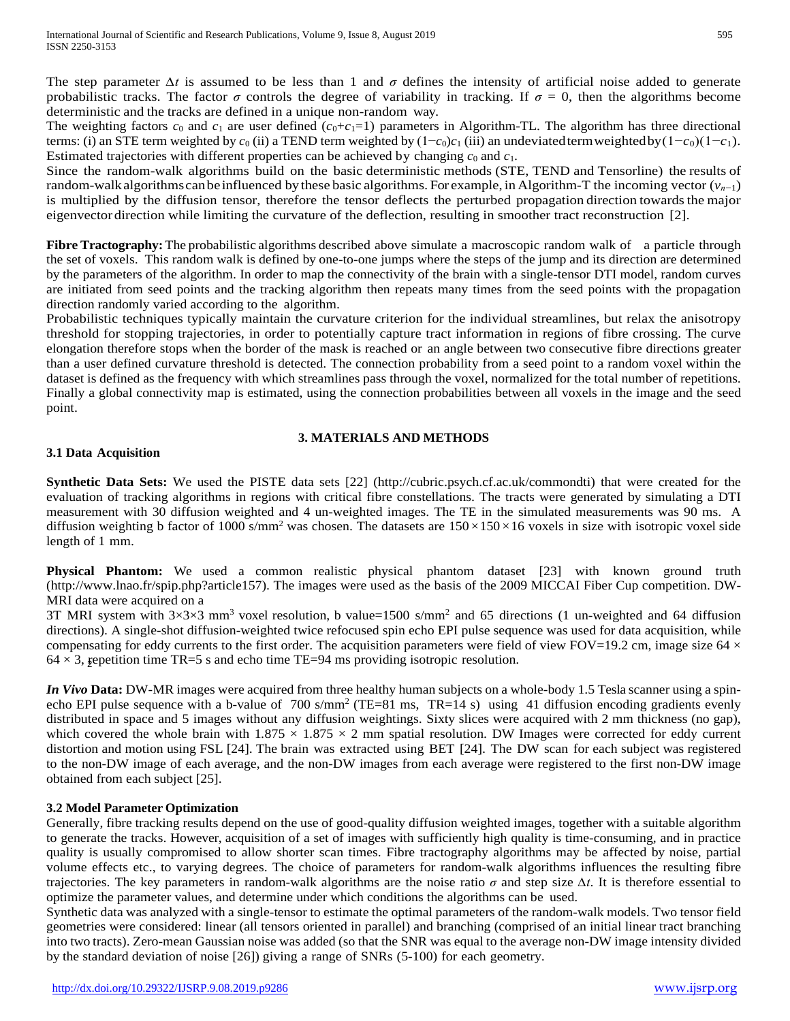The step parameter *∆t* is assumed to be less than 1 and *σ* defines the intensity of artificial noise added to generate probabilistic tracks. The factor  $\sigma$  controls the degree of variability in tracking. If  $\sigma = 0$ , then the algorithms become deterministic and the tracks are defined in a unique non-random way.

The weighting factors  $c_0$  and  $c_1$  are user defined  $(c_0+c_1=1)$  parameters in Algorithm-TL. The algorithm has three directional terms: (i) an STE term weighted by  $c_0$  (ii) a TEND term weighted by  $(1-c_0)c_1$  (iii) an undeviated term weighted by  $(1-c_0)(1-c_1)$ . Estimated trajectories with different properties can be achieved by changing  $c_0$  and  $c_1$ .

Since the random-walk algorithms build on the basic deterministic methods (STE, TEND and Tensorline) the results of random-walkalgorithmscanbe influenced by these basic algorithms. For example, in Algorithm-T the incoming vector (*vn−*1) is multiplied by the diffusion tensor, therefore the tensor deflects the perturbed propagation direction towards the major eigenvector direction while limiting the curvature of the deflection, resulting in smoother tract reconstruction [2].

**Fibre Tractography:**The probabilistic algorithms described above simulate a macroscopic random walk of a particle through the set of voxels. This random walk is defined by one-to-one jumps where the steps of the jump and its direction are determined by the parameters of the algorithm. In order to map the connectivity of the brain with a single-tensor DTI model, random curves are initiated from seed points and the tracking algorithm then repeats many times from the seed points with the propagation direction randomly varied according to the algorithm.

Probabilistic techniques typically maintain the curvature criterion for the individual streamlines, but relax the anisotropy threshold for stopping trajectories, in order to potentially capture tract information in regions of fibre crossing. The curve elongation therefore stops when the border of the mask is reached or an angle between two consecutive fibre directions greater than a user defined curvature threshold is detected. The connection probability from a seed point to a random voxel within the dataset is defined as the frequency with which streamlines pass through the voxel, normalized for the total number of repetitions. Finally a global connectivity map is estimated, using the connection probabilities between all voxels in the image and the seed point.

### **3. MATERIALS AND METHODS**

### **3.1 Data Acquisition**

**Synthetic Data Sets:** We used the PISTE data sets [22] (http://cubric.psych.cf.ac.uk/commondti) that were created for the evaluation of tracking algorithms in regions with critical fibre constellations. The tracts were generated by simulating a DTI measurement with 30 diffusion weighted and 4 un-weighted images. The TE in the simulated measurements was 90 ms. A diffusion weighting b factor of 1000 s/mm<sup>2</sup> was chosen. The datasets are  $150 \times 150 \times 16$  voxels in size with isotropic voxel side length of 1 mm.

**Physical Phantom:** We used a common realistic physical phantom dataset [23] with known ground truth [\(http://www.lnao.fr/spip.php?article157\).](http://www.lnao.fr/spip.php?article157)) The images were used as the basis of the 2009 MICCAI Fiber Cup competition. DW-MRI data were acquired on a

 $64 \times 3$ , gepetition time TR=5 s and echo time TE=94 ms providing isotropic resolution. 3T MRI system with  $3\times3\times3$  mm<sup>3</sup> voxel resolution, b value=1500 s/mm<sup>2</sup> and 65 directions (1 un-weighted and 64 diffusion directions). A single-shot diffusion-weighted twice refocused spin echo EPI pulse sequence was used for data acquisition, while compensating for eddy currents to the first order. The acquisition parameters were field of view FOV=19.2 cm, image size  $64 \times$ 

*In Vivo* Data: DW-MR images were acquired from three healthy human subjects on a whole-body 1.5 Tesla scanner using a spinecho EPI pulse sequence with a b-value of  $700 \text{ s/mm}^2$  (TE=81 ms, TR=14 s) using 41 diffusion encoding gradients evenly distributed in space and 5 images without any diffusion weightings. Sixty slices were acquired with 2 mm thickness (no gap), which covered the whole brain with  $1.875 \times 1.875 \times 2$  mm spatial resolution. DW Images were corrected for eddy current distortion and motion using FSL [24]. The brain was extracted using BET [24]. The DW scan for each subject was registered to the non-DW image of each average, and the non-DW images from each average were registered to the first non-DW image obtained from each subject [25].

## **3.2 Model Parameter Optimization**

Generally, fibre tracking results depend on the use of good-quality diffusion weighted images, together with a suitable algorithm to generate the tracks. However, acquisition of a set of images with sufficiently high quality is time-consuming, and in practice quality is usually compromised to allow shorter scan times. Fibre tractography algorithms may be affected by noise, partial volume effects etc., to varying degrees. The choice of parameters for random-walk algorithms influences the resulting fibre trajectories. The key parameters in random-walk algorithms are the noise ratio *σ* and step size *∆t*. It is therefore essential to optimize the parameter values, and determine under which conditions the algorithms can be used.

Synthetic data was analyzed with a single-tensor to estimate the optimal parameters of the random-walk models. Two tensor field geometries were considered: linear (all tensors oriented in parallel) and branching (comprised of an initial linear tract branching into two tracts). Zero-mean Gaussian noise was added (so that the SNR was equal to the average non-DW image intensity divided by the standard deviation of noise [26]) giving a range of SNRs (5-100) for each geometry.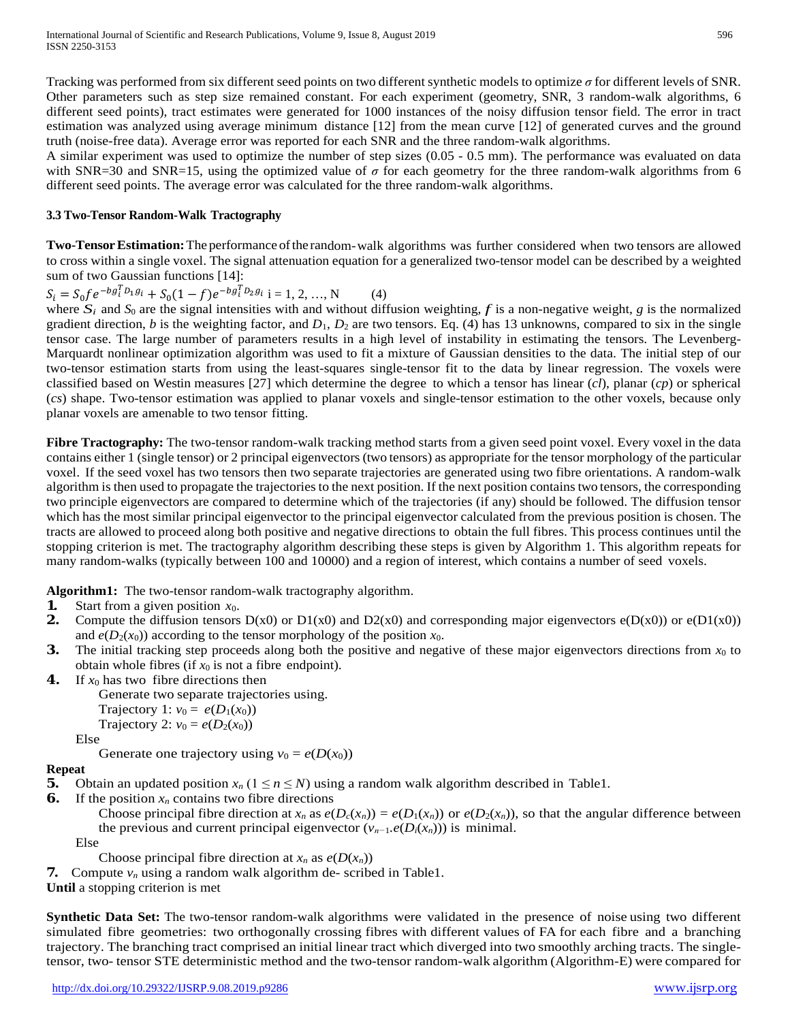Tracking was performed from six different seed points on two different synthetic models to optimize *σ* for different levels of SNR. Other parameters such as step size remained constant. For each experiment (geometry, SNR, 3 random-walk algorithms, 6 different seed points), tract estimates were generated for 1000 instances of the noisy diffusion tensor field. The error in tract estimation was analyzed using average minimum distance [12] from the mean curve [12] of generated curves and the ground truth (noise-free data). Average error was reported for each SNR and the three random-walk algorithms.

A similar experiment was used to optimize the number of step sizes (0.05 - 0.5 mm). The performance was evaluated on data with SNR=30 and SNR=15, using the optimized value of  $\sigma$  for each geometry for the three random-walk algorithms from 6 different seed points. The average error was calculated for the three random-walk algorithms.

#### **3.3 Two-Tensor Random-Walk Tractography**

**Two-TensorEstimation:**The performance ofthe random-walk algorithms was further considered when two tensors are allowed to cross within a single voxel. The signal attenuation equation for a generalized two-tensor model can be described by a weighted sum of two Gaussian functions [14]:

 $S_i = S_0 f e^{-b g_i^T D_1 g_i} + S_0 (1 - f) e^{-b g_i^T D_2 g_i}$  i = 1, 2, ..., N (4)

 $S_i = S_0 f e^{-b g_i^T D_1 g_i} + S_0 (1 - f) e^{-b g_i^T D_2 g_i}$  i = 1, 2, ..., N (4)<br>where  $S_i$  and  $S_0$  are the signal intensities with and without diffusion weighting, f is a non-negative weight, g is the normalized gradient direction, *b* is the weighting factor, and  $D_1$ ,  $D_2$  are two tensors. Eq. (4) has 13 unknowns, compared to six in the single tensor case. The large number of parameters results in a high level of instability in estimating the tensors. The Levenberg-Marquardt nonlinear optimization algorithm was used to fit a mixture of Gaussian densities to the data. The initial step of our two-tensor estimation starts from using the least-squares single-tensor fit to the data by linear regression. The voxels were classified based on Westin measures [27] which determine the degree to which a tensor has linear (*cl*), planar (*cp*) or spherical (*cs*) shape. Two-tensor estimation was applied to planar voxels and single-tensor estimation to the other voxels, because only planar voxels are amenable to two tensor fitting.

**Fibre Tractography:** The two-tensor random-walk tracking method starts from a given seed point voxel. Every voxel in the data contains either 1 (single tensor) or 2 principal eigenvectors (two tensors) as appropriate for the tensor morphology of the particular voxel. If the seed voxel has two tensors then two separate trajectories are generated using two fibre orientations. A random-walk algorithm is then used to propagate the trajectories to the next position. If the next position contains two tensors, the corresponding two principle eigenvectors are compared to determine which of the trajectories (if any) should be followed. The diffusion tensor which has the most similar principal eigenvector to the principal eigenvector calculated from the previous position is chosen. The tracts are allowed to proceed along both positive and negative directions to obtain the full fibres. This process continues until the stopping criterion is met. The tractography algorithm describing these steps is given by Algorithm 1. This algorithm repeats for many random-walks (typically between 100 and 10000) and a region of interest, which contains a number of seed voxels.

**Algorithm1:** The two-tensor random-walk tractography algorithm.

- **1.** Start from a given position *x*0.
- **2.** Compute the diffusion tensors  $D(x0)$  or  $D1(x0)$  and  $D2(x0)$  and corresponding major eigenvectors  $e(D(x0))$  or  $e(D1(x0))$ and  $e(D_2(x_0))$  according to the tensor morphology of the position  $x_0$ .
- **3.** The initial tracking step proceeds along both the positive and negative of these major eigenvectors directions from  $x_0$  to obtain whole fibres (if  $x_0$  is not a fibre endpoint).
- **4.** If  $x_0$  has two fibre directions then

Generate two separate trajectories using. Trajectory 1:  $v_0 = e(D_1(x_0))$ Trajectory 2:  $v_0 = e(D_2(x_0))$ 

Else

Generate one trajectory using  $v_0 = e(D(x_0))$ 

## **Repeat**

- **5.** Obtain an updated position  $x_n$  ( $1 \le n \le N$ ) using a random walk algorithm described in Table1.
- **6.** If the position  $x_n$  contains two fibre directions

Choose principal fibre direction at  $x_n$  as  $e(D_c(x_n)) = e(D_1(x_n))$  or  $e(D_2(x_n))$ , so that the angular difference between the previous and current principal eigenvector  $(v_{n-1}.e(D_i(x_n)))$  is minimal.

Else

Choose principal fibre direction at  $x_n$  as  $e(D(x_n))$ 

**7.** Compute  $v_n$  using a random walk algorithm de- scribed in Table1.

**Until** a stopping criterion is met

**Synthetic Data Set:** The two-tensor random-walk algorithms were validated in the presence of noise using two different simulated fibre geometries: two orthogonally crossing fibres with different values of FA for each fibre and a branching trajectory. The branching tract comprised an initial linear tract which diverged into two smoothly arching tracts. The singletensor, two- tensor STE deterministic method and the two-tensor random-walk algorithm (Algorithm-E) were compared for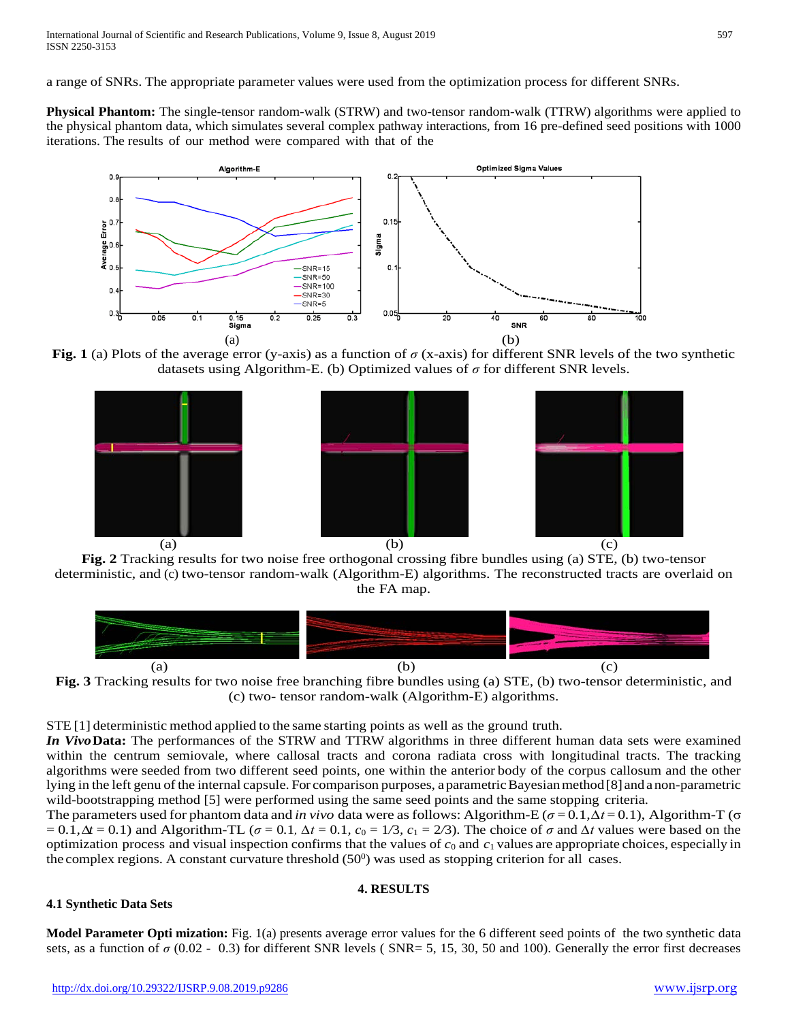a range of SNRs. The appropriate parameter values were used from the optimization process for different SNRs.

**Physical Phantom:** The single-tensor random-walk (STRW) and two-tensor random-walk (TTRW) algorithms were applied to the physical phantom data, which simulates several complex pathway interactions, from 16 pre-defined seed positions with 1000 iterations. The results of our method were compared with that of the



**Fig. 1** (a) Plots of the average error (y-axis) as a function of *σ* (x-axis) for different SNR levels of the two synthetic datasets using Algorithm-E. (b) Optimized values of *σ* for different SNR levels.



**Fig. 2** Tracking results for two noise free orthogonal crossing fibre bundles using (a) STE, (b) two-tensor deterministic, and (c) two-tensor random-walk (Algorithm-E) algorithms. The reconstructed tracts are overlaid on the FA map.





STE [1] deterministic method applied to the same starting points as well as the ground truth.

*In Vivo***Data:** The performances of the STRW and TTRW algorithms in three different human data sets were examined within the centrum semiovale, where callosal tracts and corona radiata cross with longitudinal tracts. The tracking algorithms were seeded from two different seed points, one within the anterior body of the corpus callosum and the other lying in the left genu of the internal capsule. For comparison purposes, a parametric Bayesian method [8] and a non-parametric wild-bootstrapping method [5] were performed using the same seed points and the same stopping criteria.

The parameters used for phantom data and *in vivo* data were asfollows: Algorithm-E (*σ* = 0*.*1*,∆t* = 0*.*1), Algorithm-T (σ  $= 0.1, \Delta t = 0.1$ ) and Algorithm-TL ( $\sigma = 0.1, \Delta t = 0.1, c_0 = 1/3, c_1 = 2/3$ ). The choice of  $\sigma$  and  $\Delta t$  values were based on the optimization process and visual inspection confirms that the values of *c*<sup>0</sup> and *c*<sup>1</sup> values are appropriate choices, especially in the complex regions. A constant curvature threshold  $(50^0)$  was used as stopping criterion for all cases.

#### **4. RESULTS**

## **4.1 Synthetic Data Sets**

**Model Parameter Opti mization:** Fig. 1(a) presents average error values for the 6 different seed points of the two synthetic data sets, as a function of  $\sigma$  (0.02 - 0.3) for different SNR levels (SNR= 5, 15, 30, 50 and 100). Generally the error first decreases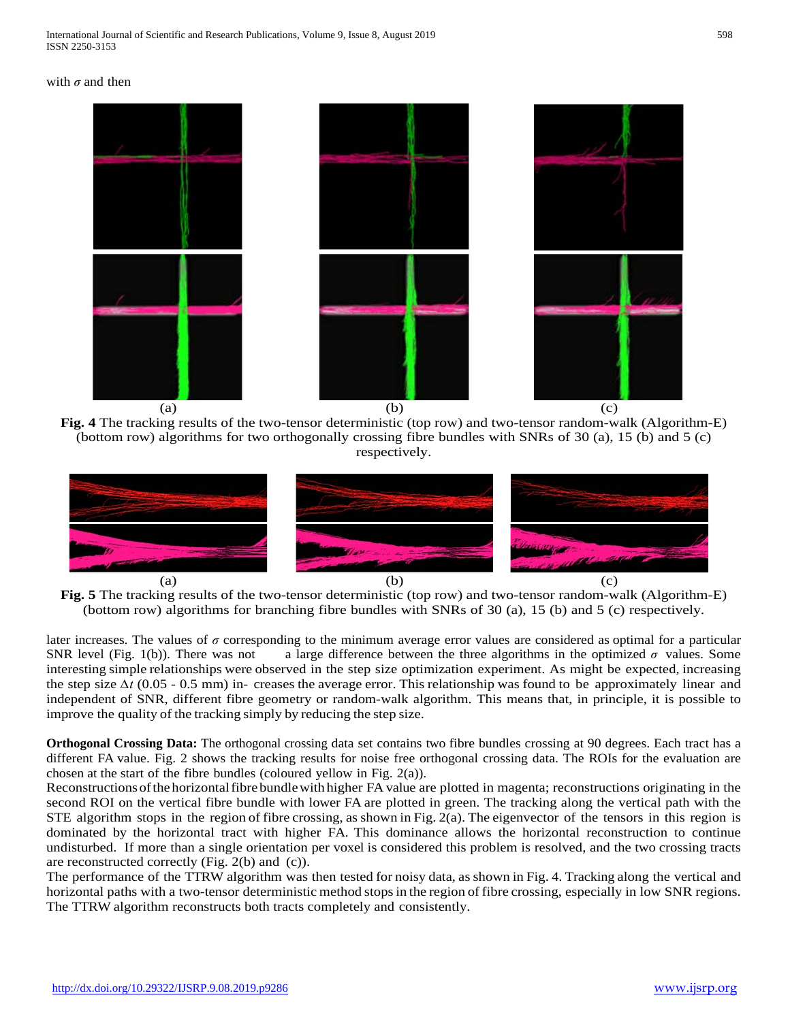







later increases. The values of *σ* corresponding to the minimum average error values are considered as optimal for a particular SNR level (Fig. 1(b)). There was not a large difference between the three algorithms in the optimized  $\sigma$  values. Some interesting simple relationships were observed in the step size optimization experiment. As might be expected, increasing the step size *∆t* (0.05 - 0.5 mm) in- creases the average error. This relationship was found to be approximately linear and independent of SNR, different fibre geometry or random-walk algorithm. This means that, in principle, it is possible to improve the quality of the tracking simply by reducing the step size.

**Orthogonal Crossing Data:** The orthogonal crossing data set contains two fibre bundles crossing at 90 degrees. Each tract has a different FA value. Fig. 2 shows the tracking results for noise free orthogonal crossing data. The ROIs for the evaluation are chosen at the start of the fibre bundles (coloured yellow in Fig. 2(a)).

Reconstructions of the horizontal fibre bundle with higher FA value are plotted in magenta; reconstructions originating in the second ROI on the vertical fibre bundle with lower FA are plotted in green. The tracking along the vertical path with the STE algorithm stops in the region of fibre crossing, asshown in Fig. 2(a). The eigenvector of the tensors in this region is dominated by the horizontal tract with higher FA. This dominance allows the horizontal reconstruction to continue undisturbed. If more than a single orientation per voxel is considered this problem is resolved, and the two crossing tracts are reconstructed correctly (Fig. 2(b) and (c)).

The performance of the TTRW algorithm was then tested for noisy data, as shown in Fig. 4. Tracking along the vertical and horizontal paths with a two-tensor deterministic method stopsin the region of fibre crossing, especially in low SNR regions. The TTRW algorithm reconstructs both tracts completely and consistently.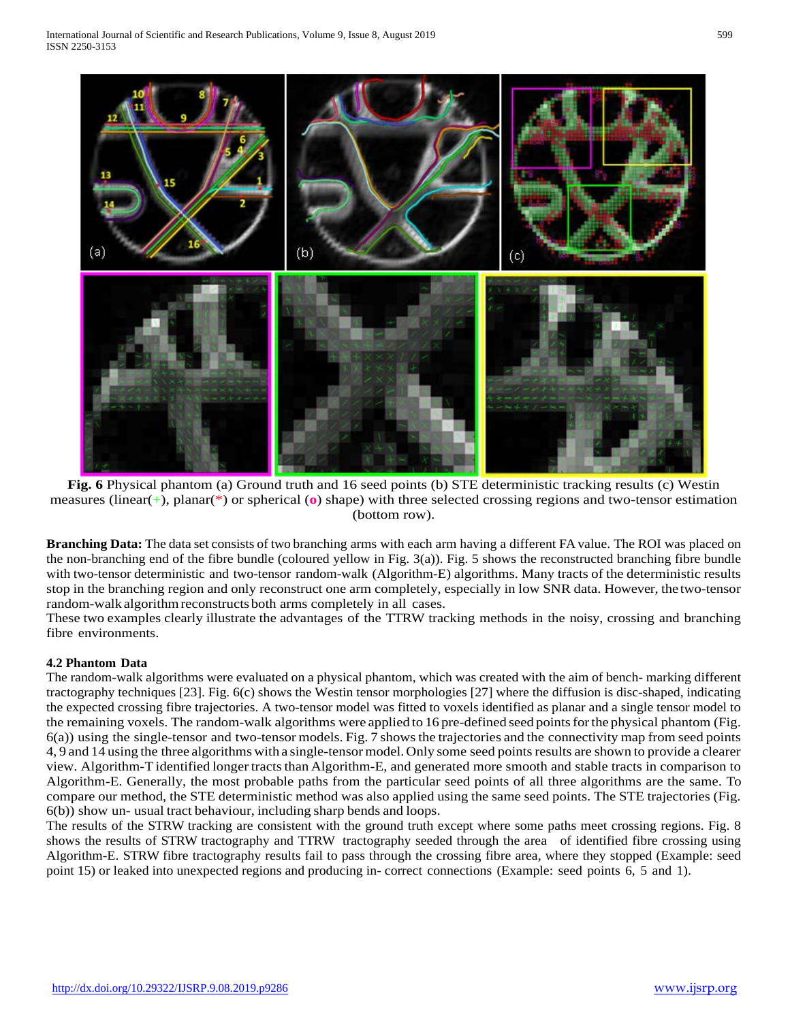

**Fig. 6** Physical phantom (a) Ground truth and 16 seed points (b) STE deterministic tracking results (c) Westin measures (linear(+), planar(\*) or spherical (**o**) shape) with three selected crossing regions and two-tensor estimation (bottom row).

**Branching Data:** The data set consists of two branching arms with each arm having a different FA value. The ROI was placed on the non-branching end of the fibre bundle (coloured yellow in Fig. 3(a)). Fig. 5 shows the reconstructed branching fibre bundle with two-tensor deterministic and two-tensor random-walk (Algorithm-E) algorithms. Many tracts of the deterministic results stop in the branching region and only reconstruct one arm completely, especially in low SNR data. However, the two-tensor random-walk algorithmreconstructs both arms completely in all cases.

These two examples clearly illustrate the advantages of the TTRW tracking methods in the noisy, crossing and branching fibre environments.

## **4.2 Phantom Data**

The random-walk algorithms were evaluated on a physical phantom, which was created with the aim of bench- marking different tractography techniques [23]. Fig. 6(c) shows the Westin tensor morphologies [27] where the diffusion is disc-shaped, indicating the expected crossing fibre trajectories. A two-tensor model was fitted to voxels identified as planar and a single tensor model to the remaining voxels. The random-walk algorithms were applied to 16 pre-defined seed pointsforthe physical phantom (Fig. 6(a)) using the single-tensor and two-tensor models. Fig. 7 showsthe trajectories and the connectivity map from seed points 4, 9 and 14 using the three algorithms with a single-tensormodel. Only some seed pointsresults are shown to provide a clearer view. Algorithm-T identified longer tractsthan Algorithm-E, and generated more smooth and stable tracts in comparison to Algorithm-E. Generally, the most probable paths from the particular seed points of all three algorithms are the same. To compare our method, the STE deterministic method was also applied using the same seed points. The STE trajectories (Fig. 6(b)) show un- usual tract behaviour, including sharp bends and loops.

The results of the STRW tracking are consistent with the ground truth except where some paths meet crossing regions. Fig. 8 shows the results of STRW tractography and TTRW tractography seeded through the area of identified fibre crossing using Algorithm-E. STRW fibre tractography results fail to pass through the crossing fibre area, where they stopped (Example: seed point 15) or leaked into unexpected regions and producing in- correct connections (Example: seed points 6, 5 and 1).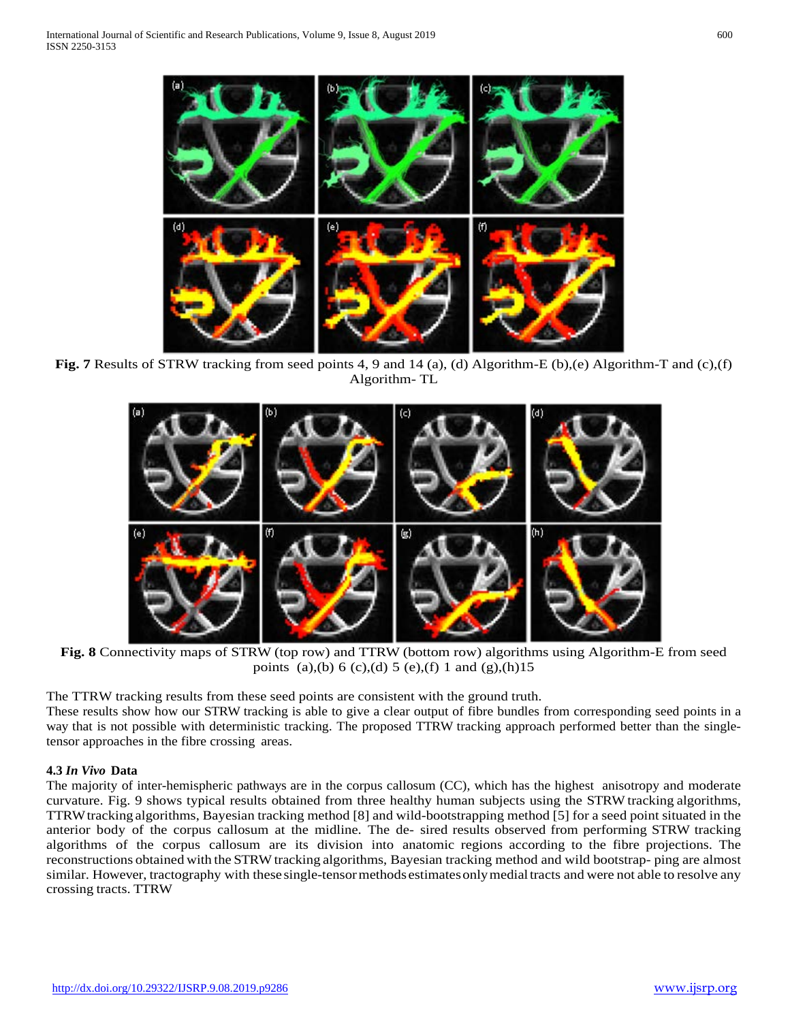**Fig. 7** Results of STRW tracking from seed points 4, 9 and 14 (a), (d) Algorithm-E (b),(e) Algorithm-T and (c),(f) Algorithm- TL



**Fig. 8** Connectivity maps of STRW (top row) and TTRW (bottom row) algorithms using Algorithm-E from seed points (a),(b) 6 (c),(d) 5 (e),(f) 1 and (g),(h)15

The TTRW tracking results from these seed points are consistent with the ground truth.

These results show how our STRW tracking is able to give a clear output of fibre bundles from corresponding seed points in a way that is not possible with deterministic tracking. The proposed TTRW tracking approach performed better than the singletensor approaches in the fibre crossing areas.

## **4.3** *In Vivo* **Data**

The majority of inter-hemispheric pathways are in the corpus callosum (CC), which has the highest anisotropy and moderate curvature. Fig. 9 shows typical results obtained from three healthy human subjects using the STRW tracking algorithms, TTRWtracking algorithms, Bayesian tracking method [8] and wild-bootstrapping method [5] for a seed point situated in the anterior body of the corpus callosum at the midline. The de- sired results observed from performing STRW tracking algorithms of the corpus callosum are its division into anatomic regions according to the fibre projections. The reconstructions obtained with the STRW tracking algorithms, Bayesian tracking method and wild bootstrap- ping are almost similar. However, tractography with these single-tensor methods estimates only medial tracts and were not able to resolve any crossing tracts. TTRW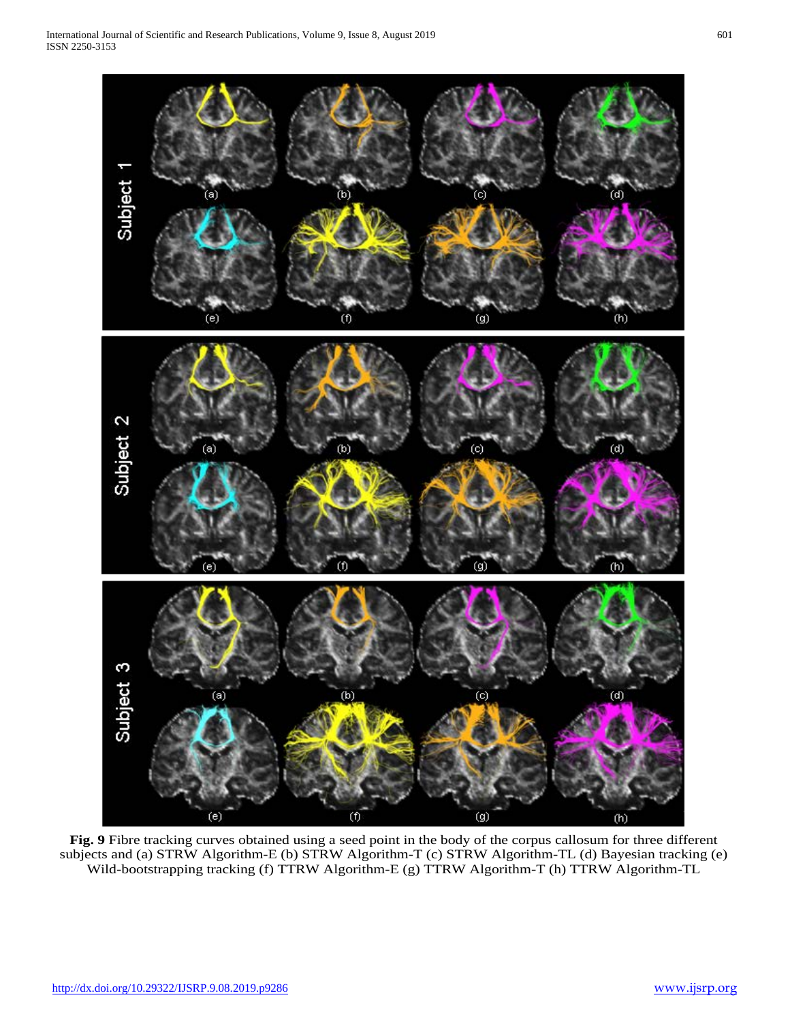

**Fig. 9** Fibre tracking curves obtained using a seed point in the body of the corpus callosum for three different subjects and (a) STRW Algorithm-E (b) STRW Algorithm-T (c) STRW Algorithm-TL (d) Bayesian tracking (e) Wild-bootstrapping tracking (f) TTRW Algorithm-E (g) TTRW Algorithm-T (h) TTRW Algorithm-TL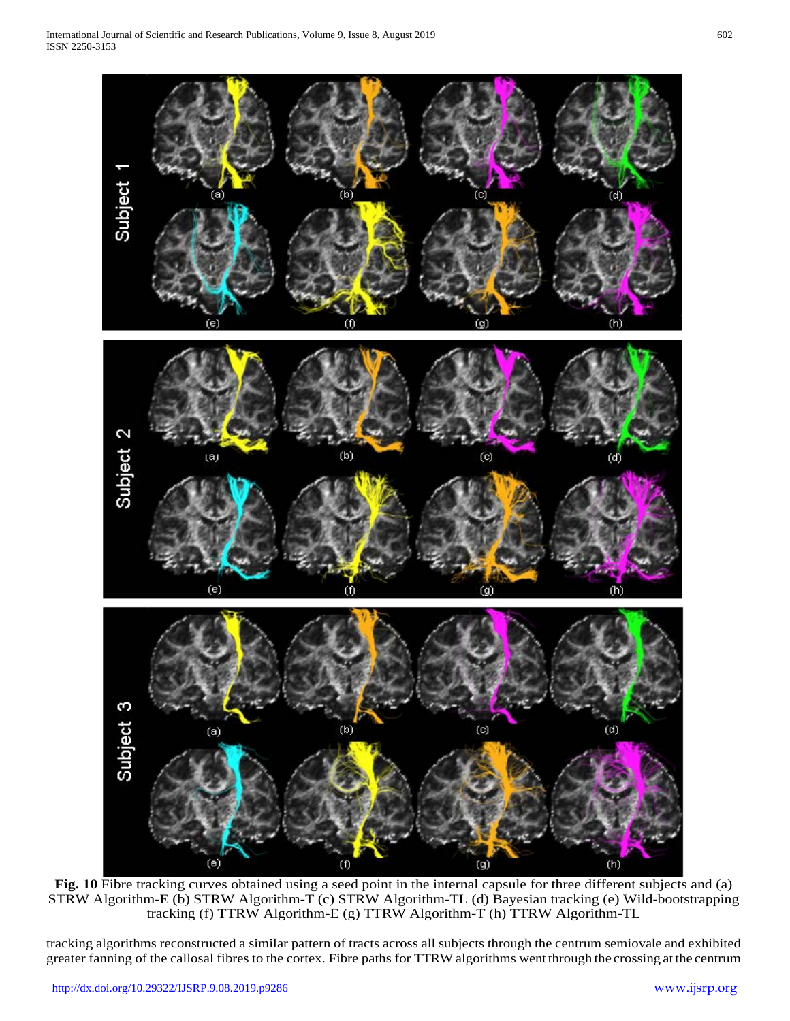

**Fig. 10** Fibre tracking curves obtained using a seed point in the internal capsule for three different subjects and (a) STRW Algorithm-E (b) STRW Algorithm-T (c) STRW Algorithm-TL (d) Bayesian tracking (e) Wild-bootstrapping tracking (f) TTRW Algorithm-E (g) TTRW Algorithm-T (h) TTRW Algorithm-TL

tracking algorithms reconstructed a similar pattern of tracts across all subjects through the centrum semiovale and exhibited greater fanning of the callosal fibres to the cortex. Fibre paths for TTRW algorithms wentthrough the crossing at the centrum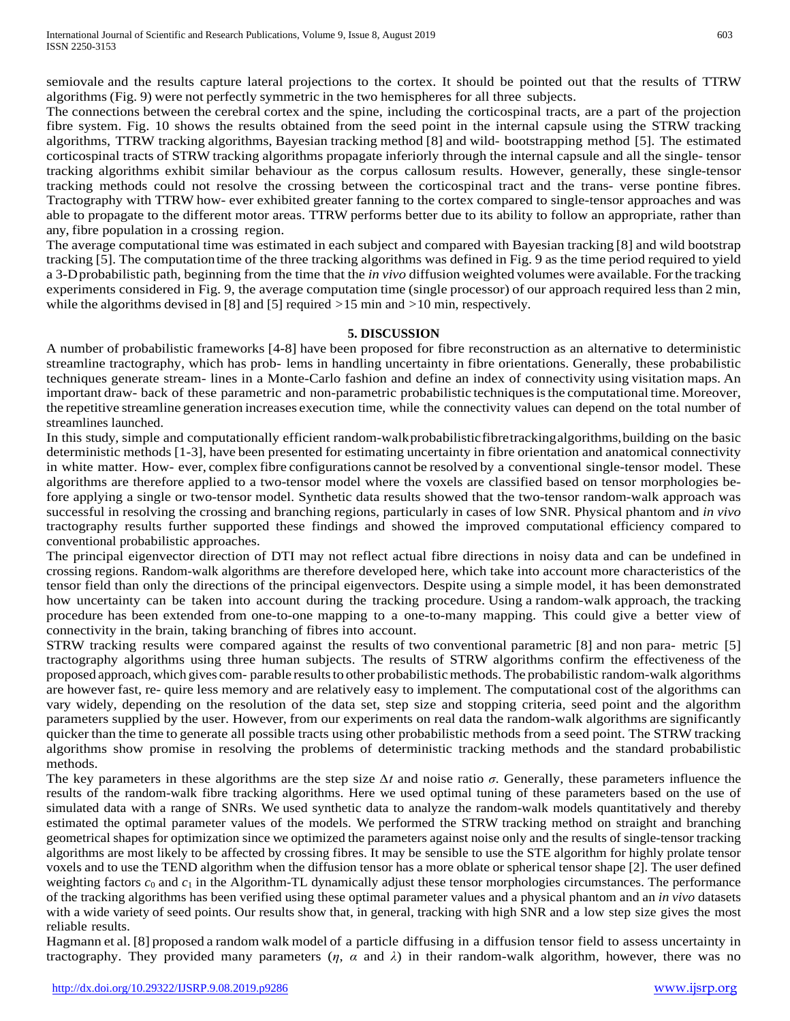semiovale and the results capture lateral projections to the cortex. It should be pointed out that the results of TTRW algorithms (Fig. 9) were not perfectly symmetric in the two hemispheres for all three subjects.

The connections between the cerebral cortex and the spine, including the corticospinal tracts, are a part of the projection fibre system. Fig. 10 shows the results obtained from the seed point in the internal capsule using the STRW tracking algorithms, TTRW tracking algorithms, Bayesian tracking method [8] and wild- bootstrapping method [5]. The estimated corticospinal tracts of STRW tracking algorithms propagate inferiorly through the internal capsule and all the single- tensor tracking algorithms exhibit similar behaviour as the corpus callosum results. However, generally, these single-tensor tracking methods could not resolve the crossing between the corticospinal tract and the trans- verse pontine fibres. Tractography with TTRW how- ever exhibited greater fanning to the cortex compared to single-tensor approaches and was able to propagate to the different motor areas. TTRW performs better due to its ability to follow an appropriate, rather than any, fibre population in a crossing region.

The average computational time was estimated in each subject and compared with Bayesian tracking [8] and wild bootstrap tracking [5]. The computationtime of the three tracking algorithms was defined in Fig. 9 as the time period required to yield a 3-Dprobabilistic path, beginning from the time that the *in vivo* diffusion weighted volumes were available. Forthe tracking experiments considered in Fig. 9, the average computation time (single processor) of our approach required less than 2 min, while the algorithms devised in [8] and [5] required *>*15 min and *>*10 min, respectively.

#### **5. DISCUSSION**

A number of probabilistic frameworks [4-8] have been proposed for fibre reconstruction as an alternative to deterministic streamline tractography, which has prob- lems in handling uncertainty in fibre orientations. Generally, these probabilistic techniques generate stream- lines in a Monte-Carlo fashion and define an index of connectivity using visitation maps. An important draw- back of these parametric and non-parametric probabilistic techniquesisthe computational time. Moreover, the repetitive streamline generation increases execution time, while the connectivity values can depend on the total number of streamlines launched.

In this study, simple and computationally efficient random-walkprobabilisticfibretrackingalgorithms,building on the basic deterministic methods [1-3], have been presented for estimating uncertainty in fibre orientation and anatomical connectivity in white matter. How- ever, complex fibre configurations cannot be resolved by a conventional single-tensor model. These algorithms are therefore applied to a two-tensor model where the voxels are classified based on tensor morphologies before applying a single or two-tensor model. Synthetic data results showed that the two-tensor random-walk approach was successful in resolving the crossing and branching regions, particularly in cases of low SNR. Physical phantom and *in vivo*  tractography results further supported these findings and showed the improved computational efficiency compared to conventional probabilistic approaches.

The principal eigenvector direction of DTI may not reflect actual fibre directions in noisy data and can be undefined in crossing regions. Random-walk algorithms are therefore developed here, which take into account more characteristics of the tensor field than only the directions of the principal eigenvectors. Despite using a simple model, it has been demonstrated how uncertainty can be taken into account during the tracking procedure. Using a random-walk approach, the tracking procedure has been extended from one-to-one mapping to a one-to-many mapping. This could give a better view of connectivity in the brain, taking branching of fibres into account.

STRW tracking results were compared against the results of two conventional parametric [8] and non para- metric [5] tractography algorithms using three human subjects. The results of STRW algorithms confirm the effectiveness of the proposed approach, which gives com- parable resultsto other probabilisticmethods.The probabilistic random-walk algorithms are however fast, re- quire less memory and are relatively easy to implement. The computational cost of the algorithms can vary widely, depending on the resolution of the data set, step size and stopping criteria, seed point and the algorithm parameters supplied by the user. However, from our experiments on real data the random-walk algorithms are significantly quicker than the time to generate all possible tracts using other probabilistic methods from a seed point. The STRW tracking algorithms show promise in resolving the problems of deterministic tracking methods and the standard probabilistic methods.

The key parameters in these algorithms are the step size *∆t* and noise ratio *σ*. Generally, these parameters influence the results of the random-walk fibre tracking algorithms. Here we used optimal tuning of these parameters based on the use of simulated data with a range of SNRs. We used synthetic data to analyze the random-walk models quantitatively and thereby estimated the optimal parameter values of the models. We performed the STRW tracking method on straight and branching geometrical shapes for optimization since we optimized the parameters against noise only and the results of single-tensor tracking algorithms are most likely to be affected by crossing fibres. It may be sensible to use the STE algorithm for highly prolate tensor voxels and to use the TEND algorithm when the diffusion tensor has a more oblate or spherical tensor shape [2]. The user defined weighting factors  $c_0$  and  $c_1$  in the Algorithm-TL dynamically adjust these tensor morphologies circumstances. The performance of the tracking algorithms has been verified using these optimal parameter values and a physical phantom and an *in vivo* datasets with a wide variety of seed points. Our results show that, in general, tracking with high SNR and a low step size gives the most reliable results.

Hagmann et al. [8] proposed a random walk model of a particle diffusing in a diffusion tensor field to assess uncertainty in tractography. They provided many parameters  $(\eta, \alpha \text{ and } \lambda)$  in their random-walk algorithm, however, there was no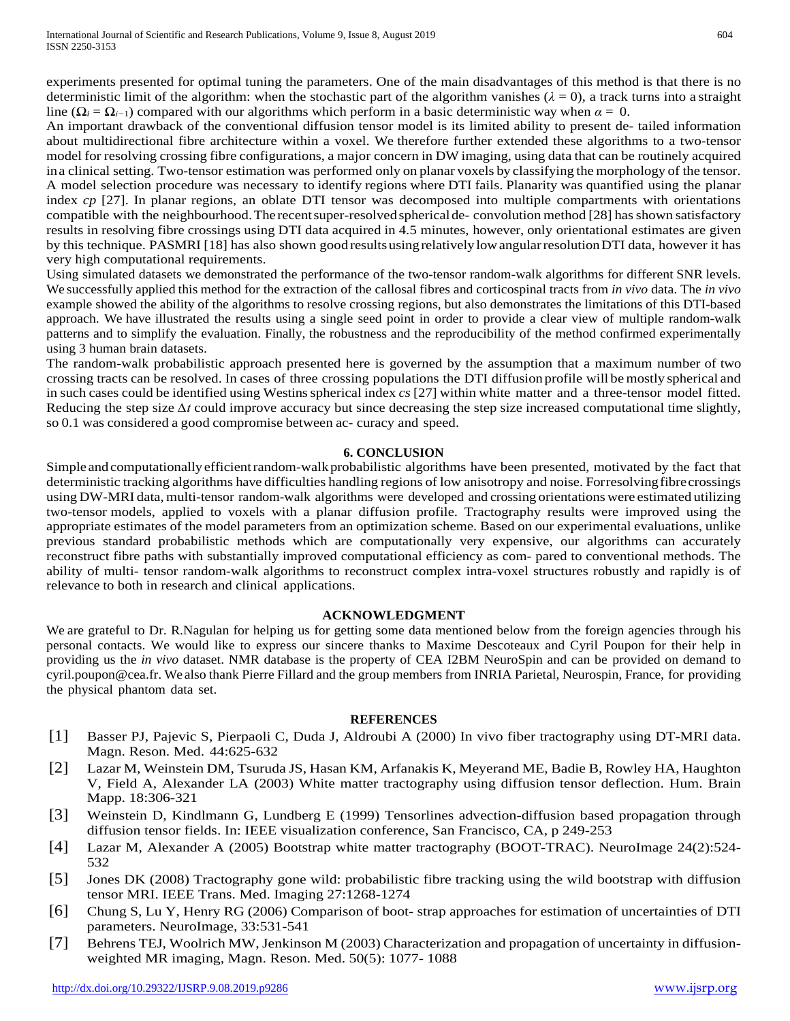experiments presented for optimal tuning the parameters. One of the main disadvantages of this method is that there is no deterministic limit of the algorithm: when the stochastic part of the algorithm vanishes ( $\lambda = 0$ ), a track turns into a straight line ( $\Omega_i = \Omega_{i-1}$ ) compared with our algorithms which perform in a basic deterministic way when  $\alpha = 0$ .

An important drawback of the conventional diffusion tensor model is its limited ability to present de- tailed information about multidirectional fibre architecture within a voxel. We therefore further extended these algorithms to a two-tensor model for resolving crossing fibre configurations, a major concern in DW imaging, using data that can be routinely acquired ina clinical setting. Two-tensor estimation was performed only on planar voxels by classifying the morphology of the tensor. A model selection procedure was necessary to identify regions where DTI fails. Planarity was quantified using the planar index *cp* [27]. In planar regions, an oblate DTI tensor was decomposed into multiple compartments with orientations compatible with the neighbourhood. The recent super-resolved spherical de- convolution method [28] has shown satisfactory results in resolving fibre crossings using DTI data acquired in 4.5 minutes, however, only orientational estimates are given by this technique. PASMRI [18] has also shown good resultsusingrelativelylowangularresolutionDTI data, however it has very high computational requirements.

Using simulated datasets we demonstrated the performance of the two-tensor random-walk algorithms for different SNR levels. We successfully applied this method for the extraction of the callosal fibres and corticospinal tracts from *in vivo* data. The *in vivo*  example showed the ability of the algorithms to resolve crossing regions, but also demonstrates the limitations of this DTI-based approach. We have illustrated the results using a single seed point in order to provide a clear view of multiple random-walk patterns and to simplify the evaluation. Finally, the robustness and the reproducibility of the method confirmed experimentally using 3 human brain datasets.

The random-walk probabilistic approach presented here is governed by the assumption that a maximum number of two crossing tracts can be resolved. In cases of three crossing populations the DTI diffusion profile will be mostly spherical and in such cases could be identified using Westinsspherical index *cs* [27] within white matter and a three-tensor model fitted. Reducing the step size  $\Delta t$  could improve accuracy but since decreasing the step size increased computational time slightly, so 0.1 was considered a good compromise between ac- curacy and speed.

#### **6. CONCLUSION**

Simple and computationally efficient random-walk probabilistic algorithms have been presented, motivated by the fact that deterministic tracking algorithms have difficulties handling regions of low anisotropy and noise. Forresolvingfibrecrossings using DW-MRI data, multi-tensor random-walk algorithms were developed and crossing orientations were estimated utilizing two-tensor models, applied to voxels with a planar diffusion profile. Tractography results were improved using the appropriate estimates of the model parameters from an optimization scheme. Based on our experimental evaluations, unlike previous standard probabilistic methods which are computationally very expensive, our algorithms can accurately reconstruct fibre paths with substantially improved computational efficiency as com- pared to conventional methods. The ability of multi- tensor random-walk algorithms to reconstruct complex intra-voxel structures robustly and rapidly is of relevance to both in research and clinical applications.

#### **ACKNOWLEDGMENT**

We are grateful to Dr. R.Nagulan for helping us for getting some data mentioned below from the foreign agencies through his personal contacts. We would like to express our sincere thanks to Maxime Descoteaux and Cyril Poupon for their help in providing us the *in vivo* dataset. NMR database is the property of CEA I2BM NeuroSpin and can be provided on demand to [cyril.poupon@cea.fr. W](mailto:cyril.poupon@cea.fr)e also thank Pierre Fillard and the group members from INRIA Parietal, Neurospin, France, for providing the physical phantom data set.

#### **REFERENCES**

- [1] Basser PJ, Pajevic S, Pierpaoli C, Duda J, Aldroubi A (2000) In vivo fiber tractography using DT-MRI data. Magn. Reson. Med. 44:625-632
- [2] Lazar M, Weinstein DM, Tsuruda JS, Hasan KM, Arfanakis K, Meyerand ME, Badie B, Rowley HA, Haughton V, Field A, Alexander LA (2003) White matter tractography using diffusion tensor deflection. Hum. Brain Mapp. 18:306-321
- [3] Weinstein D, Kindlmann G, Lundberg E (1999) Tensorlines advection-diffusion based propagation through diffusion tensor fields. In: IEEE visualization conference, San Francisco, CA, p 249-253
- [4] Lazar M, Alexander A (2005) Bootstrap white matter tractography (BOOT-TRAC). NeuroImage 24(2):524- 532
- [5] Jones DK (2008) Tractography gone wild: probabilistic fibre tracking using the wild bootstrap with diffusion tensor MRI. IEEE Trans. Med. Imaging 27:1268-1274
- [6] Chung S, Lu Y, Henry RG (2006) Comparison of boot- strap approaches for estimation of uncertainties of DTI parameters. NeuroImage, 33:531-541
- [7] Behrens TEJ, Woolrich MW, Jenkinson M (2003) Characterization and propagation of uncertainty in diffusionweighted MR imaging, Magn. Reson. Med. 50(5): 1077- 1088